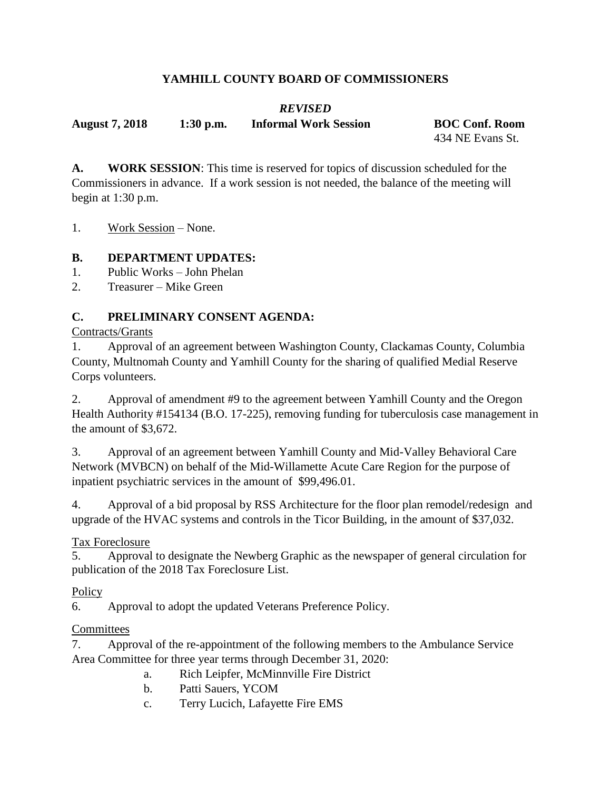## **YAMHILL COUNTY BOARD OF COMMISSIONERS**

# *REVISED*

**August 7, 2018 1:30 p.m. Informal Work Session BOC Conf. Room**

434 NE Evans St.

**A. WORK SESSION**: This time is reserved for topics of discussion scheduled for the Commissioners in advance. If a work session is not needed, the balance of the meeting will begin at 1:30 p.m.

1. Work Session – None.

### **B. DEPARTMENT UPDATES:**

- 1. Public Works John Phelan
- 2. Treasurer Mike Green

### **C. PRELIMINARY CONSENT AGENDA:**

Contracts/Grants

1. Approval of an agreement between Washington County, Clackamas County, Columbia County, Multnomah County and Yamhill County for the sharing of qualified Medial Reserve Corps volunteers.

2. Approval of amendment #9 to the agreement between Yamhill County and the Oregon Health Authority #154134 (B.O. 17-225), removing funding for tuberculosis case management in the amount of \$3,672.

3. Approval of an agreement between Yamhill County and Mid-Valley Behavioral Care Network (MVBCN) on behalf of the Mid-Willamette Acute Care Region for the purpose of inpatient psychiatric services in the amount of \$99,496.01.

4. Approval of a bid proposal by RSS Architecture for the floor plan remodel/redesign and upgrade of the HVAC systems and controls in the Ticor Building, in the amount of \$37,032.

## Tax Foreclosure

5. Approval to designate the Newberg Graphic as the newspaper of general circulation for publication of the 2018 Tax Foreclosure List.

#### **Policy**

6. Approval to adopt the updated Veterans Preference Policy.

#### **Committees**

7. Approval of the re-appointment of the following members to the Ambulance Service Area Committee for three year terms through December 31, 2020:

- a. Rich Leipfer, McMinnville Fire District
- b. Patti Sauers, YCOM
- c. Terry Lucich, Lafayette Fire EMS